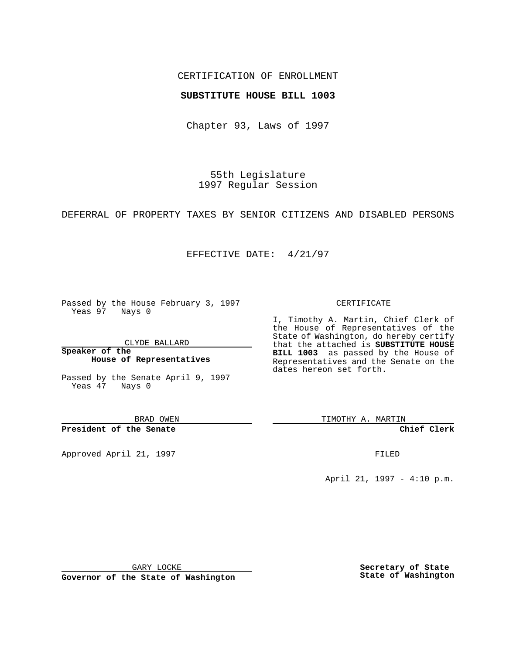### CERTIFICATION OF ENROLLMENT

## **SUBSTITUTE HOUSE BILL 1003**

Chapter 93, Laws of 1997

55th Legislature 1997 Regular Session

DEFERRAL OF PROPERTY TAXES BY SENIOR CITIZENS AND DISABLED PERSONS

## EFFECTIVE DATE: 4/21/97

Passed by the House February 3, 1997 Yeas 97 Nays 0

CLYDE BALLARD

**Speaker of the House of Representatives**

Passed by the Senate April 9, 1997 Yeas 47 Nays 0

BRAD OWEN

**President of the Senate**

Approved April 21, 1997 **FILED** 

#### CERTIFICATE

I, Timothy A. Martin, Chief Clerk of the House of Representatives of the State of Washington, do hereby certify that the attached is **SUBSTITUTE HOUSE BILL 1003** as passed by the House of Representatives and the Senate on the dates hereon set forth.

TIMOTHY A. MARTIN

**Chief Clerk**

April 21, 1997 - 4:10 p.m.

GARY LOCKE

**Governor of the State of Washington**

**Secretary of State State of Washington**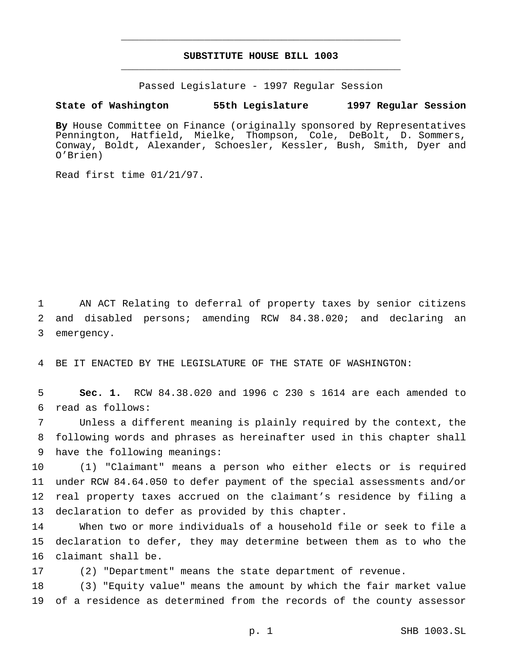# **SUBSTITUTE HOUSE BILL 1003** \_\_\_\_\_\_\_\_\_\_\_\_\_\_\_\_\_\_\_\_\_\_\_\_\_\_\_\_\_\_\_\_\_\_\_\_\_\_\_\_\_\_\_\_\_\_\_

\_\_\_\_\_\_\_\_\_\_\_\_\_\_\_\_\_\_\_\_\_\_\_\_\_\_\_\_\_\_\_\_\_\_\_\_\_\_\_\_\_\_\_\_\_\_\_

Passed Legislature - 1997 Regular Session

#### **State of Washington 55th Legislature 1997 Regular Session**

**By** House Committee on Finance (originally sponsored by Representatives Pennington, Hatfield, Mielke, Thompson, Cole, DeBolt, D. Sommers, Conway, Boldt, Alexander, Schoesler, Kessler, Bush, Smith, Dyer and O'Brien)

Read first time 01/21/97.

 AN ACT Relating to deferral of property taxes by senior citizens and disabled persons; amending RCW 84.38.020; and declaring an emergency.

BE IT ENACTED BY THE LEGISLATURE OF THE STATE OF WASHINGTON:

 **Sec. 1.** RCW 84.38.020 and 1996 c 230 s 1614 are each amended to read as follows:

 Unless a different meaning is plainly required by the context, the following words and phrases as hereinafter used in this chapter shall have the following meanings:

 (1) "Claimant" means a person who either elects or is required under RCW 84.64.050 to defer payment of the special assessments and/or real property taxes accrued on the claimant's residence by filing a declaration to defer as provided by this chapter.

 When two or more individuals of a household file or seek to file a declaration to defer, they may determine between them as to who the claimant shall be.

(2) "Department" means the state department of revenue.

 (3) "Equity value" means the amount by which the fair market value of a residence as determined from the records of the county assessor